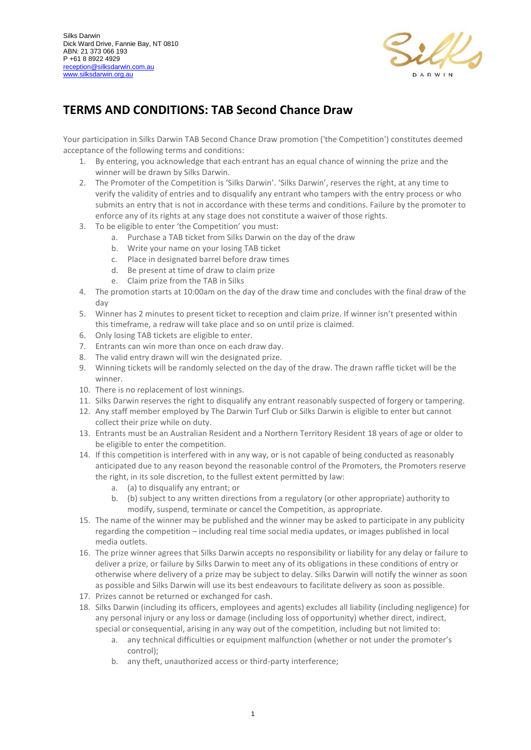

## **TERMS AND CONDITIONS: TAB Second Chance Draw**

Your participation in Silks Darwin TAB Second Chance Draw promotion ('the Competition') constitutes deemed acceptance of the following terms and conditions:

- 1. By entering, you acknowledge that each entrant has an equal chance of winning the prize and the winner will be drawn by Silks Darwin.
- 2. The Promoter of the Competition is 'Silks Darwin'. 'Silks Darwin', reserves the right, at any time to verify the validity of entries and to disqualify any entrant who tampers with the entry process or who submits an entry that is not in accordance with these terms and conditions. Failure by the promoter to enforce any of its rights at any stage does not constitute a waiver of those rights.
- 3. To be eligible to enter 'the Competition' you must:
	- a. Purchase a TAB ticket from Silks Darwin on the day of the draw
	- b. Write your name on your losing TAB ticket
	- c. Place in designated barrel before draw times
	- d. Be present at time of draw to claim prize
	- e. Claim prize from the TAB in Silks
- 4. The promotion starts at 10:00am on the day of the draw time and concludes with the final draw of the day
- 5. Winner has 2 minutes to present ticket to reception and claim prize. If winner isn't presented within this timeframe, a redraw will take place and so on until prize is claimed.
- 6. Only losing TAB tickets are eligible to enter.
- 7. Entrants can win more than once on each draw day.
- 8. The valid entry drawn will win the designated prize.
- 9. Winning tickets will be randomly selected on the day of the draw. The drawn raffle ticket will be the winner.
- 10. There is no replacement of lost winnings.
- 11. Silks Darwin reserves the right to disqualify any entrant reasonably suspected of forgery or tampering.
- 12. Any staff member employed by The Darwin Turf Club or Silks Darwin is eligible to enter but cannot collect their prize while on duty.
- 13. Entrants must be an Australian Resident and a Northern Territory Resident 18 years of age or older to be eligible to enter the competition.
- 14. If this competition is interfered with in any way, or is not capable of being conducted as reasonably anticipated due to any reason beyond the reasonable control of the Promoters, the Promoters reserve the right, in its sole discretion, to the fullest extent permitted by law:
	- a. (a) to disqualify any entrant; or
	- b. (b) subject to any written directions from a regulatory (or other appropriate) authority to modify, suspend, terminate or cancel the Competition, as appropriate.
- 15. The name of the winner may be published and the winner may be asked to participate in any publicity regarding the competition – including real time social media updates, or images published in local media outlets.
- 16. The prize winner agrees that Silks Darwin accepts no responsibility or liability for any delay or failure to deliver a prize, or failure by Silks Darwin to meet any of its obligations in these conditions of entry or otherwise where delivery of a prize may be subject to delay. Silks Darwin will notify the winner as soon as possible and Silks Darwin will use its best endeavours to facilitate delivery as soon as possible.
- 17. Prizes cannot be returned or exchanged for cash.
- 18. Silks Darwin (including its officers, employees and agents) excludes all liability (including negligence) for any personal injury or any loss or damage (including loss of opportunity) whether direct, indirect, special or consequential, arising in any way out of the competition, including but not limited to:
	- a. any technical difficulties or equipment malfunction (whether or not under the promoter's control);
	- b. any theft, unauthorized access or third-party interference;